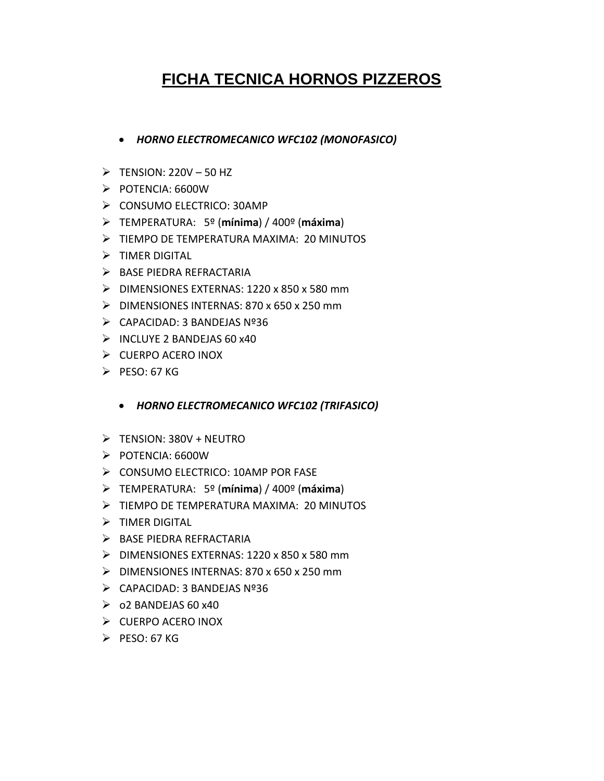## **FICHA TECNICA HORNOS PIZZEROS**

- *HORNO ELECTROMECANICO WFC102 (MONOFASICO)*
- $\triangleright$  TENSION: 220V 50 HZ
- $\triangleright$  POTENCIA: 6600W
- $\triangleright$  CONSUMO ELECTRICO: 30AMP
- TEMPERATURA: 5º (**mínima**) / 400º (**máxima**)
- TIEMPO DE TEMPERATURA MAXIMA: 20 MINUTOS
- $\triangleright$  TIMER DIGITAL
- > BASE PIEDRA REFRACTARIA
- $\triangleright$  DIMENSIONES EXTERNAS: 1220 x 850 x 580 mm
- $\triangleright$  DIMENSIONES INTERNAS: 870 x 650 x 250 mm
- CAPACIDAD: 3 BANDEJAS Nº36
- $\triangleright$  INCLUYE 2 BANDEJAS 60 x40
- $\triangleright$  CUERPO ACERO INOX
- $\triangleright$  PESO: 67 KG
	- *HORNO ELECTROMECANICO WFC102 (TRIFASICO)*
- $\triangleright$  TENSION: 380V + NEUTRO
- $\triangleright$  POTENCIA: 6600W
- $\triangleright$  CONSUMO ELECTRICO: 10AMP POR FASE
- TEMPERATURA: 5º (**mínima**) / 400º (**máxima**)
- TIEMPO DE TEMPERATURA MAXIMA: 20 MINUTOS
- $\triangleright$  TIMER DIGITAL
- $\triangleright$  BASE PIEDRA REFRACTARIA
- $\triangleright$  DIMENSIONES EXTERNAS: 1220 x 850 x 580 mm
- $\triangleright$  DIMENSIONES INTERNAS: 870 x 650 x 250 mm
- $\triangleright$  CAPACIDAD: 3 BANDEJAS Nº36
- $\geqslant$  02 BANDEJAS 60 x40
- $\triangleright$  CUERPO ACERO INOX
- $\triangleright$  PFSO: 67 KG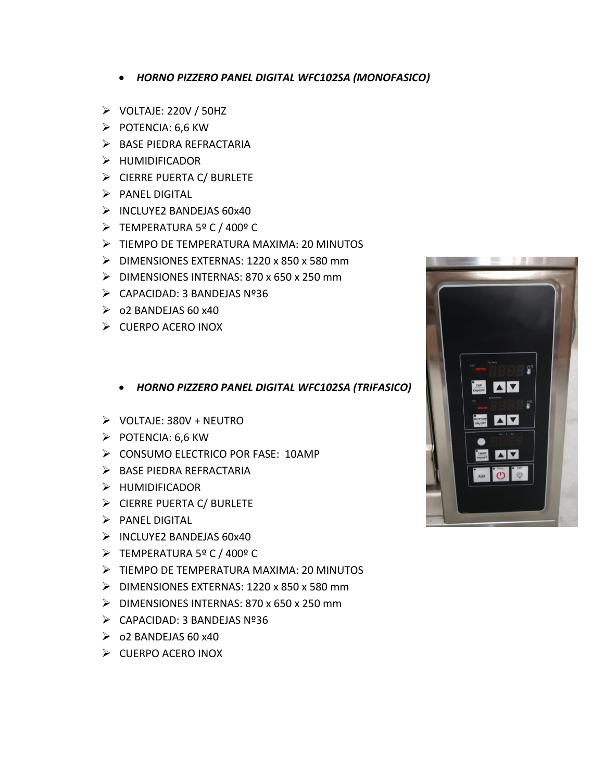- *HORNO PIZZERO PANEL DIGITAL WFC102SA (MONOFASICO)*
- $\triangleright$  VOLTAJE: 220V / 50HZ
- $\triangleright$  POTENCIA: 6,6 KW
- > BASE PIEDRA REFRACTARIA
- > HUMIDIFICADOR
- CIERRE PUERTA C/ BURLETE
- $\triangleright$  PANEL DIGITAL
- $\triangleright$  INCLUYE2 BANDEJAS 60x40
- TEMPERATURA 5º C / 400º C
- TIEMPO DE TEMPERATURA MAXIMA: 20 MINUTOS
- DIMENSIONES EXTERNAS: 1220 x 850 x 580 mm
- DIMENSIONES INTERNAS: 870 x 650 x 250 mm
- CAPACIDAD: 3 BANDEJAS Nº36
- $\geq$  02 BANDEJAS 60 x40
- $\triangleright$  CUERPO ACERO INOX
	- *HORNO PIZZERO PANEL DIGITAL WFC102SA (TRIFASICO)*
- $\triangleright$  VOLTAJE: 380V + NEUTRO
- $\triangleright$  POTENCIA: 6,6 KW
- CONSUMO ELECTRICO POR FASE: 10AMP
- > BASE PIEDRA REFRACTARIA
- > HUMIDIFICADOR
- > CIERRE PUERTA C/ BURLETE
- $\triangleright$  PANEL DIGITAL
- $\triangleright$  INCLUYE2 BANDEJAS 60x40
- TEMPERATURA 5º C / 400º C
- TIEMPO DE TEMPERATURA MAXIMA: 20 MINUTOS
- DIMENSIONES EXTERNAS: 1220 x 850 x 580 mm
- $\triangleright$  DIMENSIONES INTERNAS: 870 x 650 x 250 mm
- $\triangleright$  CAPACIDAD: 3 BANDEJAS Nº36
- $\geq$  02 BANDEJAS 60 x40
- $\triangleright$  CUERPO ACERO INOX